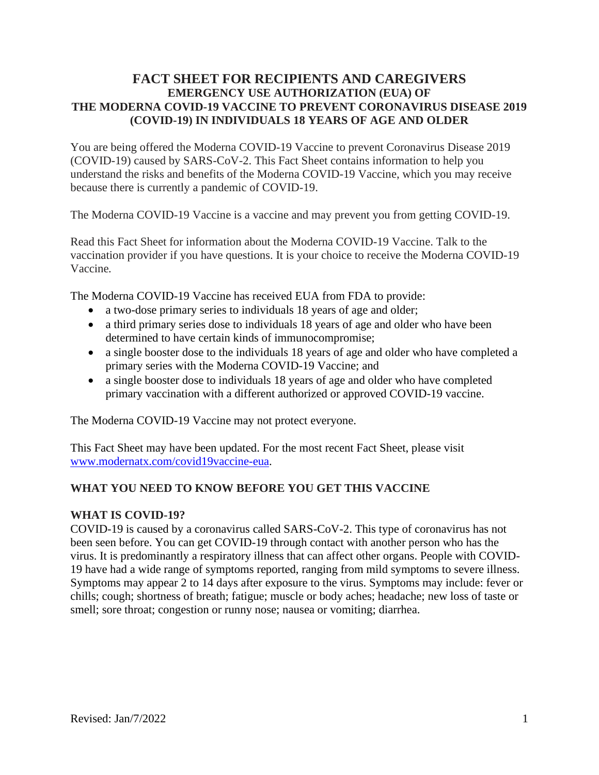# **FACT SHEET FOR RECIPIENTS AND CAREGIVERS EMERGENCY USE AUTHORIZATION (EUA) OF THE MODERNA COVID-19 VACCINE TO PREVENT CORONAVIRUS DISEASE 2019 (COVID-19) IN INDIVIDUALS 18 YEARS OF AGE AND OLDER**

You are being offered the Moderna COVID-19 Vaccine to prevent Coronavirus Disease 2019 (COVID-19) caused by SARS-CoV-2. This Fact Sheet contains information to help you understand the risks and benefits of the Moderna COVID-19 Vaccine, which you may receive because there is currently a pandemic of COVID-19.

The Moderna COVID-19 Vaccine is a vaccine and may prevent you from getting COVID-19.

Read this Fact Sheet for information about the Moderna COVID-19 Vaccine. Talk to the vaccination provider if you have questions. It is your choice to receive the Moderna COVID-19 Vaccine*.*

The Moderna COVID-19 Vaccine has received EUA from FDA to provide:

- a two-dose primary series to individuals 18 years of age and older;
- a third primary series dose to individuals 18 years of age and older who have been determined to have certain kinds of immunocompromise;
- a single booster dose to the individuals 18 years of age and older who have completed a primary series with the Moderna COVID-19 Vaccine; and
- a single booster dose to individuals 18 years of age and older who have completed primary vaccination with a different authorized or approved COVID-19 vaccine.

The Moderna COVID-19 Vaccine may not protect everyone.

This Fact Sheet may have been updated. For the most recent Fact Sheet, please visit www.modernatx.com/covid19vaccine-eua.

### **WHAT YOU NEED TO KNOW BEFORE YOU GET THIS VACCINE**

#### **WHAT IS COVID-19?**

COVID-19 is caused by a coronavirus called SARS-CoV-2. This type of coronavirus has not been seen before. You can get COVID-19 through contact with another person who has the virus. It is predominantly a respiratory illness that can affect other organs. People with COVID-19 have had a wide range of symptoms reported, ranging from mild symptoms to severe illness. Symptoms may appear 2 to 14 days after exposure to the virus. Symptoms may include: fever or chills; cough; shortness of breath; fatigue; muscle or body aches; headache; new loss of taste or smell; sore throat; congestion or runny nose; nausea or vomiting; diarrhea.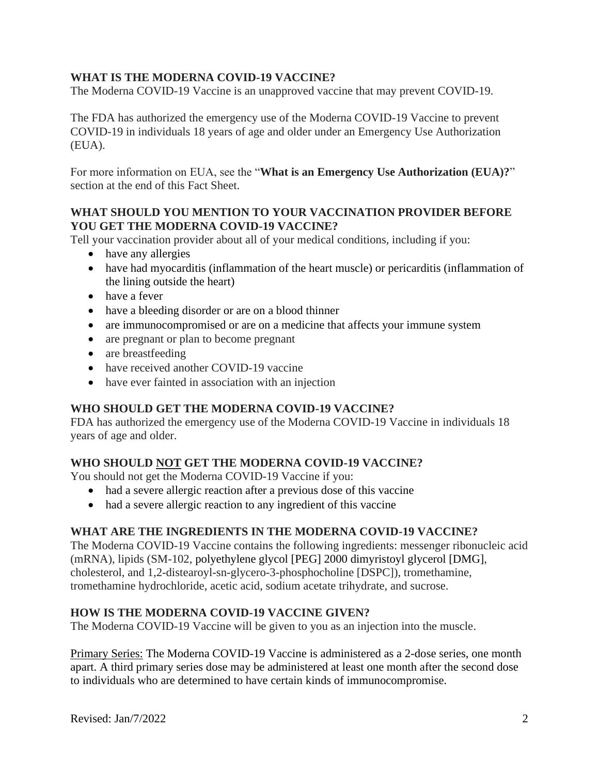## **WHAT IS THE MODERNA COVID-19 VACCINE?**

The Moderna COVID-19 Vaccine is an unapproved vaccine that may prevent COVID-19.

The FDA has authorized the emergency use of the Moderna COVID-19 Vaccine to prevent COVID-19 in individuals 18 years of age and older under an Emergency Use Authorization (EUA).

For more information on EUA, see the "**What is an Emergency Use Authorization (EUA)?**" section at the end of this Fact Sheet.

### **WHAT SHOULD YOU MENTION TO YOUR VACCINATION PROVIDER BEFORE YOU GET THE MODERNA COVID-19 VACCINE?**

Tell your vaccination provider about all of your medical conditions, including if you:

- have any allergies
- have had myocarditis (inflammation of the heart muscle) or pericarditis (inflammation of the lining outside the heart)
- have a fever
- have a bleeding disorder or are on a blood thinner
- are immunocompromised or are on a medicine that affects your immune system
- are pregnant or plan to become pregnant
- are breastfeeding
- have received another COVID-19 vaccine
- have ever fainted in association with an injection

### **WHO SHOULD GET THE MODERNA COVID-19 VACCINE?**

FDA has authorized the emergency use of the Moderna COVID-19 Vaccine in individuals 18 years of age and older.

### **WHO SHOULD NOT GET THE MODERNA COVID-19 VACCINE?**

You should not get the Moderna COVID-19 Vaccine if you:

- had a severe allergic reaction after a previous dose of this vaccine
- had a severe allergic reaction to any ingredient of this vaccine

#### **WHAT ARE THE INGREDIENTS IN THE MODERNA COVID-19 VACCINE?**

The Moderna COVID-19 Vaccine contains the following ingredients: messenger ribonucleic acid (mRNA), lipids (SM-102, polyethylene glycol [PEG] 2000 dimyristoyl glycerol [DMG], cholesterol, and 1,2-distearoyl-sn-glycero-3-phosphocholine [DSPC]), tromethamine, tromethamine hydrochloride, acetic acid, sodium acetate trihydrate, and sucrose.

#### **HOW IS THE MODERNA COVID-19 VACCINE GIVEN?**

The Moderna COVID-19 Vaccine will be given to you as an injection into the muscle.

Primary Series: The Moderna COVID-19 Vaccine is administered as a 2-dose series, one month apart. A third primary series dose may be administered at least one month after the second dose to individuals who are determined to have certain kinds of immunocompromise.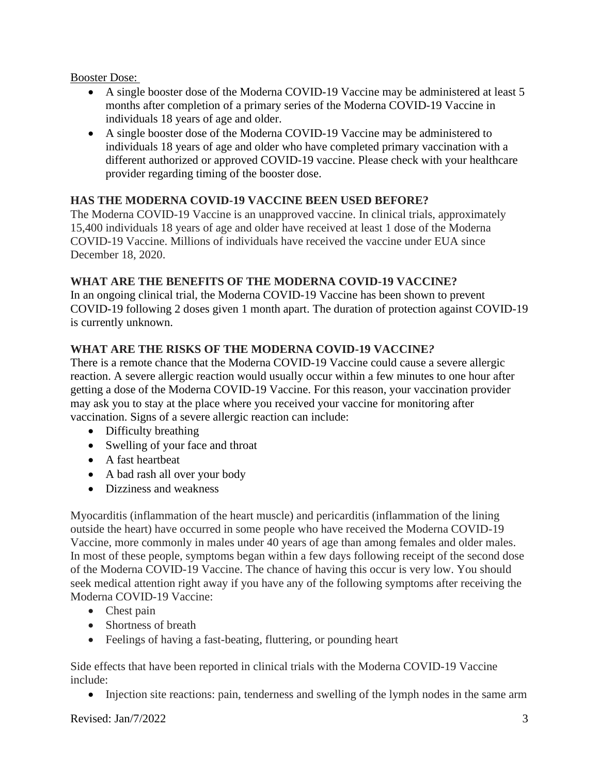### Booster Dose:

- A single booster dose of the Moderna COVID-19 Vaccine may be administered at least 5 months after completion of a primary series of the Moderna COVID-19 Vaccine in individuals 18 years of age and older.
- A single booster dose of the Moderna COVID-19 Vaccine may be administered to individuals 18 years of age and older who have completed primary vaccination with a different authorized or approved COVID-19 vaccine. Please check with your healthcare provider regarding timing of the booster dose.

### **HAS THE MODERNA COVID-19 VACCINE BEEN USED BEFORE?**

The Moderna COVID-19 Vaccine is an unapproved vaccine. In clinical trials, approximately 15,400 individuals 18 years of age and older have received at least 1 dose of the Moderna COVID-19 Vaccine. Millions of individuals have received the vaccine under EUA since December 18, 2020.

#### **WHAT ARE THE BENEFITS OF THE MODERNA COVID-19 VACCINE?**

In an ongoing clinical trial, the Moderna COVID-19 Vaccine has been shown to prevent COVID-19 following 2 doses given 1 month apart. The duration of protection against COVID-19 is currently unknown.

### **WHAT ARE THE RISKS OF THE MODERNA COVID-19 VACCINE***?*

There is a remote chance that the Moderna COVID-19 Vaccine could cause a severe allergic reaction. A severe allergic reaction would usually occur within a few minutes to one hour after getting a dose of the Moderna COVID-19 Vaccine. For this reason, your vaccination provider may ask you to stay at the place where you received your vaccine for monitoring after vaccination. Signs of a severe allergic reaction can include:

- Difficulty breathing
- Swelling of your face and throat
- A fast heartbeat
- A bad rash all over your body
- Dizziness and weakness

Myocarditis (inflammation of the heart muscle) and pericarditis (inflammation of the lining outside the heart) have occurred in some people who have received the Moderna COVID-19 Vaccine, more commonly in males under 40 years of age than among females and older males. In most of these people, symptoms began within a few days following receipt of the second dose of the Moderna COVID-19 Vaccine. The chance of having this occur is very low. You should seek medical attention right away if you have any of the following symptoms after receiving the Moderna COVID-19 Vaccine:

- Chest pain
- Shortness of breath
- Feelings of having a fast-beating, fluttering, or pounding heart

Side effects that have been reported in clinical trials with the Moderna COVID-19 Vaccine include:

• Injection site reactions: pain, tenderness and swelling of the lymph nodes in the same arm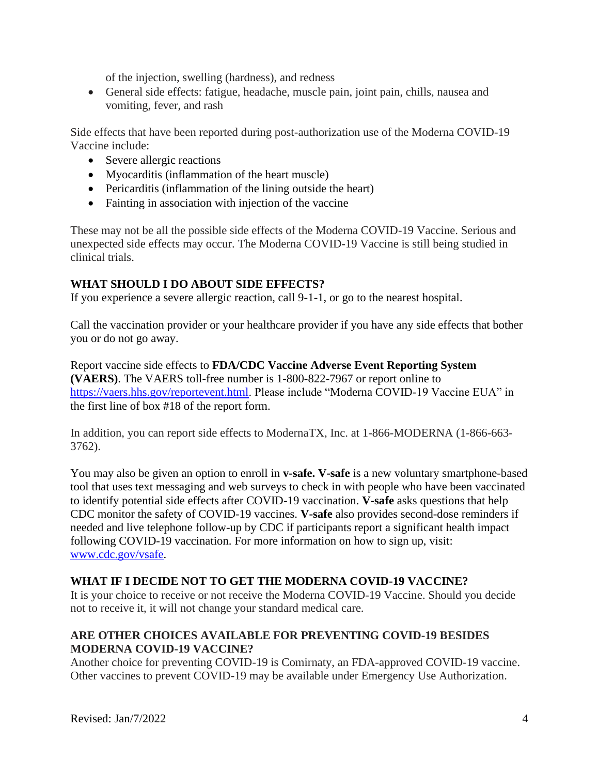of the injection, swelling (hardness), and redness

• General side effects: fatigue, headache, muscle pain, joint pain, chills, nausea and vomiting, fever, and rash

Side effects that have been reported during post-authorization use of the Moderna COVID-19 Vaccine include:

- Severe allergic reactions
- Myocarditis (inflammation of the heart muscle)
- Pericarditis (inflammation of the lining outside the heart)
- Fainting in association with injection of the vaccine

These may not be all the possible side effects of the Moderna COVID-19 Vaccine. Serious and unexpected side effects may occur. The Moderna COVID-19 Vaccine is still being studied in clinical trials.

# **WHAT SHOULD I DO ABOUT SIDE EFFECTS?**

If you experience a severe allergic reaction, call 9-1-1, or go to the nearest hospital.

Call the vaccination provider or your healthcare provider if you have any side effects that bother you or do not go away.

Report vaccine side effects to **FDA/CDC Vaccine Adverse Event Reporting System (VAERS)**. The VAERS toll-free number is 1-800-822-7967 or report online to https://vaers.hhs.gov/reportevent.html. Please include "Moderna COVID-19 Vaccine EUA" in the first line of box #18 of the report form.

In addition, you can report side effects to ModernaTX, Inc. at 1-866-MODERNA (1-866-663- 3762).

You may also be given an option to enroll in **v-safe. V-safe** is a new voluntary smartphone-based tool that uses text messaging and web surveys to check in with people who have been vaccinated to identify potential side effects after COVID-19 vaccination. **V-safe** asks questions that help CDC monitor the safety of COVID-19 vaccines. **V-safe** also provides second-dose reminders if needed and live telephone follow-up by CDC if participants report a significant health impact following COVID-19 vaccination. For more information on how to sign up, visit: www.cdc.gov/vsafe.

### **WHAT IF I DECIDE NOT TO GET THE MODERNA COVID-19 VACCINE?**

It is your choice to receive or not receive the Moderna COVID-19 Vaccine. Should you decide not to receive it, it will not change your standard medical care.

# **ARE OTHER CHOICES AVAILABLE FOR PREVENTING COVID-19 BESIDES MODERNA COVID-19 VACCINE?**

Another choice for preventing COVID-19 is Comirnaty, an FDA-approved COVID-19 vaccine. Other vaccines to prevent COVID-19 may be available under Emergency Use Authorization.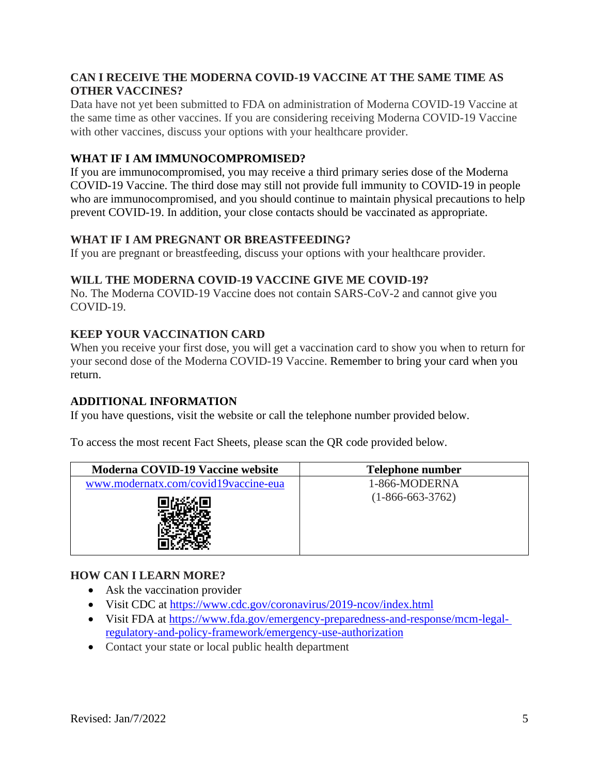## **CAN I RECEIVE THE MODERNA COVID-19 VACCINE AT THE SAME TIME AS OTHER VACCINES?**

Data have not yet been submitted to FDA on administration of Moderna COVID-19 Vaccine at the same time as other vaccines. If you are considering receiving Moderna COVID-19 Vaccine with other vaccines, discuss your options with your healthcare provider.

## **WHAT IF I AM IMMUNOCOMPROMISED?**

If you are immunocompromised, you may receive a third primary series dose of the Moderna COVID-19 Vaccine. The third dose may still not provide full immunity to COVID-19 in people who are immunocompromised, and you should continue to maintain physical precautions to help prevent COVID-19. In addition, your close contacts should be vaccinated as appropriate.

### **WHAT IF I AM PREGNANT OR BREASTFEEDING?**

If you are pregnant or breastfeeding, discuss your options with your healthcare provider.

### **WILL THE MODERNA COVID-19 VACCINE GIVE ME COVID-19?**

No. The Moderna COVID-19 Vaccine does not contain SARS-CoV-2 and cannot give you COVID-19.

# **KEEP YOUR VACCINATION CARD**

When you receive your first dose, you will get a vaccination card to show you when to return for your second dose of the Moderna COVID-19 Vaccine. Remember to bring your card when you return.

### **ADDITIONAL INFORMATION**

If you have questions, visit the website or call the telephone number provided below.

To access the most recent Fact Sheets, please scan the QR code provided below.

| Moderna COVID-19 Vaccine website     | Telephone number   |
|--------------------------------------|--------------------|
| www.modernatx.com/covid19vaccine-eua | 1-866-MODERNA      |
|                                      | $(1-866-663-3762)$ |

### **HOW CAN I LEARN MORE?**

- Ask the vaccination provider
- Visit CDC at https://www.cdc.gov/coronavirus/2019-ncov/index.html
- Visit FDA at https://www.fda.gov/emergency-preparedness-and-response/mcm-legalregulatory-and-policy-framework/emergency-use-authorization
- Contact your state or local public health department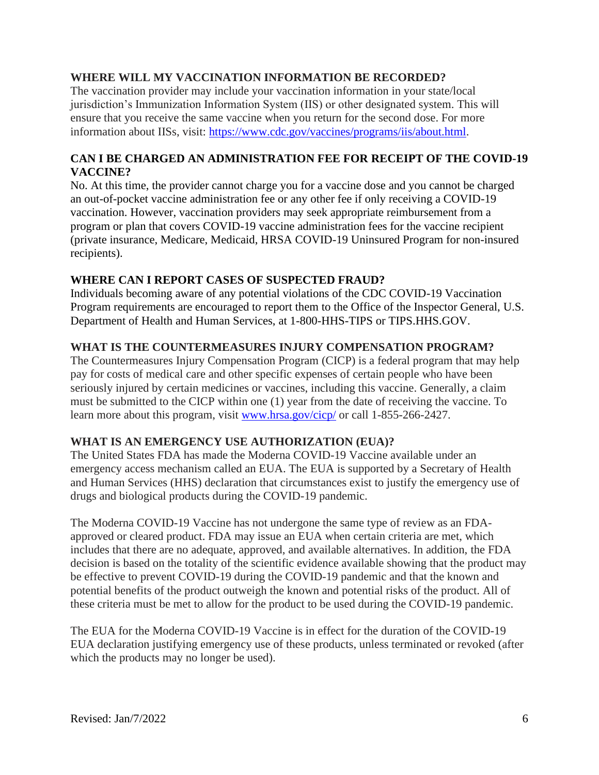### **WHERE WILL MY VACCINATION INFORMATION BE RECORDED?**

The vaccination provider may include your vaccination information in your state/local jurisdiction's Immunization Information System (IIS) or other designated system. This will ensure that you receive the same vaccine when you return for the second dose. For more information about IISs, visit: https://www.cdc.gov/vaccines/programs/iis/about.html.

### **CAN I BE CHARGED AN ADMINISTRATION FEE FOR RECEIPT OF THE COVID-19 VACCINE?**

No. At this time, the provider cannot charge you for a vaccine dose and you cannot be charged an out-of-pocket vaccine administration fee or any other fee if only receiving a COVID-19 vaccination. However, vaccination providers may seek appropriate reimbursement from a program or plan that covers COVID-19 vaccine administration fees for the vaccine recipient (private insurance, Medicare, Medicaid, HRSA COVID-19 Uninsured Program for non-insured recipients).

#### **WHERE CAN I REPORT CASES OF SUSPECTED FRAUD?**

Individuals becoming aware of any potential violations of the CDC COVID-19 Vaccination Program requirements are encouraged to report them to the Office of the Inspector General, U.S. Department of Health and Human Services, at 1-800-HHS-TIPS or TIPS.HHS.GOV.

#### **WHAT IS THE COUNTERMEASURES INJURY COMPENSATION PROGRAM?**

The Countermeasures Injury Compensation Program (CICP) is a federal program that may help pay for costs of medical care and other specific expenses of certain people who have been seriously injured by certain medicines or vaccines, including this vaccine. Generally, a claim must be submitted to the CICP within one (1) year from the date of receiving the vaccine. To learn more about this program, visit www.hrsa.gov/cicp/ or call 1-855-266-2427.

### **WHAT IS AN EMERGENCY USE AUTHORIZATION (EUA)?**

The United States FDA has made the Moderna COVID-19 Vaccine available under an emergency access mechanism called an EUA. The EUA is supported by a Secretary of Health and Human Services (HHS) declaration that circumstances exist to justify the emergency use of drugs and biological products during the COVID-19 pandemic.

The Moderna COVID-19 Vaccine has not undergone the same type of review as an FDAapproved or cleared product. FDA may issue an EUA when certain criteria are met, which includes that there are no adequate, approved, and available alternatives. In addition, the FDA decision is based on the totality of the scientific evidence available showing that the product may be effective to prevent COVID-19 during the COVID-19 pandemic and that the known and potential benefits of the product outweigh the known and potential risks of the product. All of these criteria must be met to allow for the product to be used during the COVID-19 pandemic.

The EUA for the Moderna COVID-19 Vaccine is in effect for the duration of the COVID-19 EUA declaration justifying emergency use of these products, unless terminated or revoked (after which the products may no longer be used).